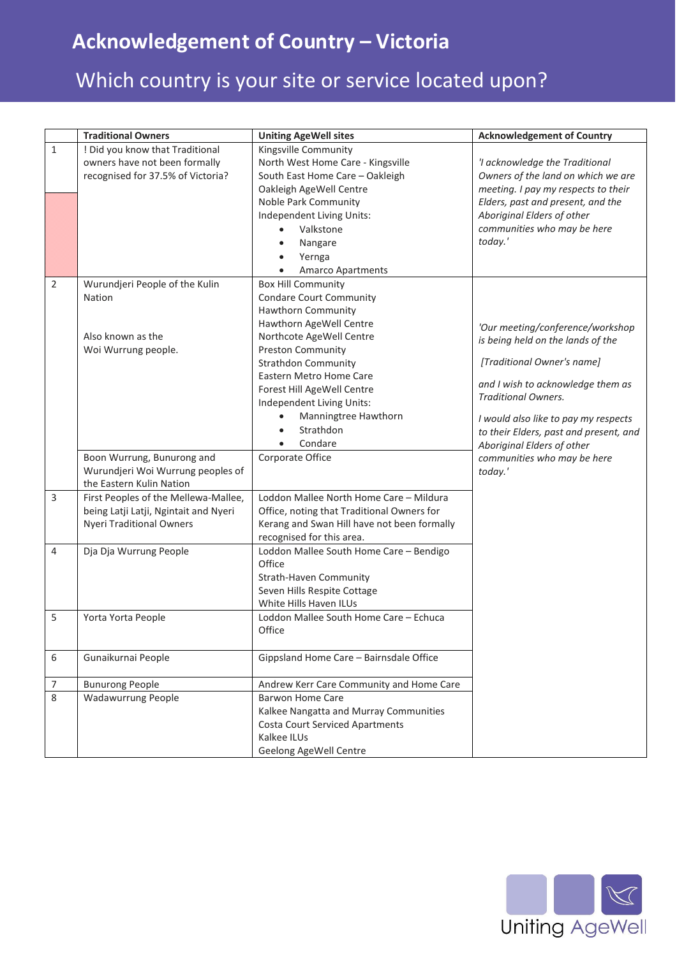## **Acknowledgement of Country – Victoria**

## Which country is your site or service located upon?

|                | <b>Traditional Owners</b>             | <b>Uniting AgeWell sites</b>                | <b>Acknowledgement of Country</b>      |
|----------------|---------------------------------------|---------------------------------------------|----------------------------------------|
| $\mathbf{1}$   | ! Did you know that Traditional       | Kingsville Community                        |                                        |
|                | owners have not been formally         | North West Home Care - Kingsville           | 'I acknowledge the Traditional         |
|                | recognised for 37.5% of Victoria?     | South East Home Care - Oakleigh             | Owners of the land on which we are     |
|                |                                       | Oakleigh AgeWell Centre                     | meeting. I pay my respects to their    |
|                |                                       | Noble Park Community                        | Elders, past and present, and the      |
|                |                                       | Independent Living Units:                   | Aboriginal Elders of other             |
|                |                                       | Valkstone                                   | communities who may be here            |
|                |                                       | Nangare                                     | today.'                                |
|                |                                       | Yernga                                      |                                        |
|                |                                       | <b>Amarco Apartments</b>                    |                                        |
| $\overline{2}$ | Wurundjeri People of the Kulin        | <b>Box Hill Community</b>                   |                                        |
|                | <b>Nation</b>                         | <b>Condare Court Community</b>              |                                        |
|                |                                       | <b>Hawthorn Community</b>                   |                                        |
|                |                                       | Hawthorn AgeWell Centre                     | 'Our meeting/conference/workshop       |
|                | Also known as the                     | Northcote AgeWell Centre                    | is being held on the lands of the      |
|                | Woi Wurrung people.                   | <b>Preston Community</b>                    |                                        |
|                |                                       | <b>Strathdon Community</b>                  | [Traditional Owner's name]             |
|                |                                       | Eastern Metro Home Care                     | and I wish to acknowledge them as      |
|                |                                       | Forest Hill AgeWell Centre                  | <b>Traditional Owners.</b>             |
|                |                                       | Independent Living Units:                   |                                        |
|                |                                       | Manningtree Hawthorn<br>$\bullet$           | I would also like to pay my respects   |
|                |                                       | Strathdon<br>$\bullet$                      | to their Elders, past and present, and |
|                |                                       | Condare<br>$\bullet$                        | Aboriginal Elders of other             |
|                | Boon Wurrung, Bunurong and            | Corporate Office                            | communities who may be here            |
|                | Wurundjeri Woi Wurrung peoples of     |                                             | today.'                                |
|                | the Eastern Kulin Nation              |                                             |                                        |
| 3              | First Peoples of the Mellewa-Mallee,  | Loddon Mallee North Home Care - Mildura     |                                        |
|                | being Latji Latji, Ngintait and Nyeri | Office, noting that Traditional Owners for  |                                        |
|                | <b>Nyeri Traditional Owners</b>       | Kerang and Swan Hill have not been formally |                                        |
|                |                                       | recognised for this area.                   |                                        |
| 4              | Dja Dja Wurrung People                | Loddon Mallee South Home Care - Bendigo     |                                        |
|                |                                       | Office                                      |                                        |
|                |                                       | <b>Strath-Haven Community</b>               |                                        |
|                |                                       | Seven Hills Respite Cottage                 |                                        |
|                |                                       | White Hills Haven ILUs                      |                                        |
| 5              | Yorta Yorta People                    | Loddon Mallee South Home Care - Echuca      |                                        |
|                |                                       | Office                                      |                                        |
|                |                                       |                                             |                                        |
| 6              | Gunaikurnai People                    | Gippsland Home Care - Bairnsdale Office     |                                        |
| 7              | <b>Bunurong People</b>                | Andrew Kerr Care Community and Home Care    |                                        |
| 8              | <b>Wadawurrung People</b>             | <b>Barwon Home Care</b>                     |                                        |
|                |                                       | Kalkee Nangatta and Murray Communities      |                                        |
|                |                                       | <b>Costa Court Serviced Apartments</b>      |                                        |
|                |                                       | Kalkee ILUs                                 |                                        |
|                |                                       | Geelong AgeWell Centre                      |                                        |
|                |                                       |                                             |                                        |